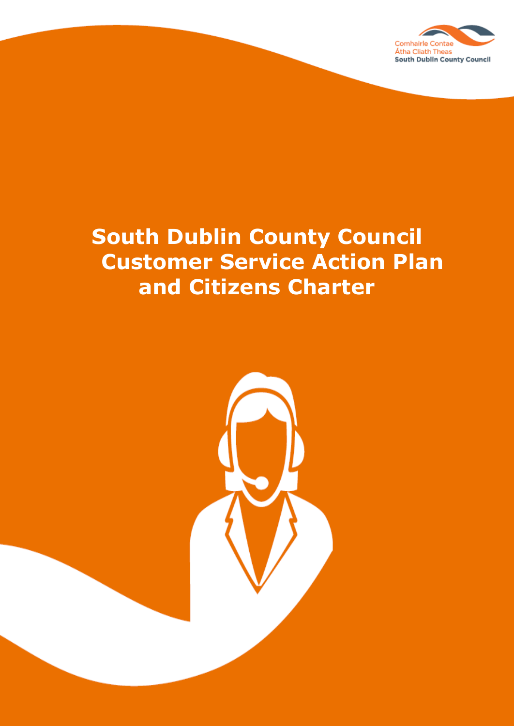

# **South Dublin County Council Customer Service Action Plan and Citizens Charter**

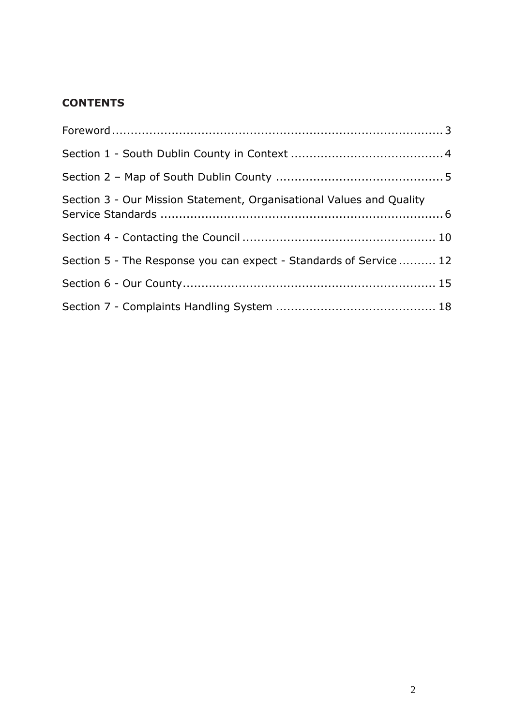# **CONTENTS**

| Section 3 - Our Mission Statement, Organisational Values and Quality |  |
|----------------------------------------------------------------------|--|
|                                                                      |  |
| Section 5 - The Response you can expect - Standards of Service  12   |  |
|                                                                      |  |
|                                                                      |  |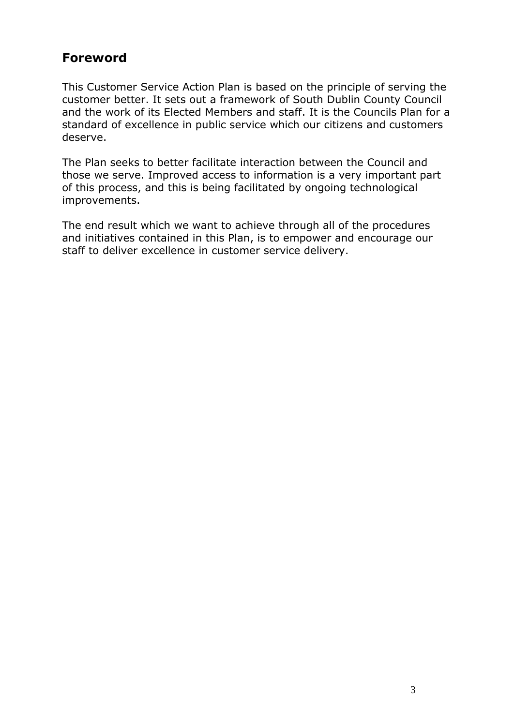# <span id="page-2-0"></span>**Foreword**

This Customer Service Action Plan is based on the principle of serving the customer better. It sets out a framework of South Dublin County Council and the work of its Elected Members and staff. It is the Councils Plan for a standard of excellence in public service which our citizens and customers deserve.

The Plan seeks to better facilitate interaction between the Council and those we serve. Improved access to information is a very important part of this process, and this is being facilitated by ongoing technological improvements.

The end result which we want to achieve through all of the procedures and initiatives contained in this Plan, is to empower and encourage our staff to deliver excellence in customer service delivery.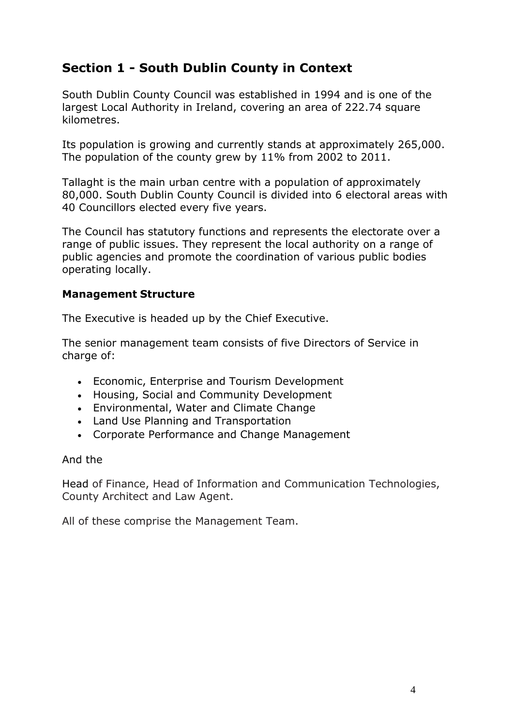# <span id="page-3-0"></span>**Section 1 - South Dublin County in Context**

South Dublin County Council was established in 1994 and is one of the largest Local Authority in Ireland, covering an area of 222.74 square kilometres.

Its population is growing and currently stands at approximately 265,000. The population of the county grew by 11% from 2002 to 2011.

Tallaght is the main urban centre with a population of approximately 80,000. South Dublin County Council is divided into 6 electoral areas with 40 Councillors elected every five years.

The Council has statutory functions and represents the electorate over a range of public issues. They represent the local authority on a range of public agencies and promote the coordination of various public bodies operating locally.

#### **Management Structure**

The Executive is headed up by the Chief Executive.

The senior management team consists of five Directors of Service in charge of:

- Economic, Enterprise and Tourism Development
- Housing, Social and Community Development
- Environmental, Water and Climate Change
- Land Use Planning and Transportation
- Corporate Performance and Change Management

#### And the

Head of Finance, Head of Information and Communication Technologies, County Architect and Law Agent.

All of these comprise the Management Team.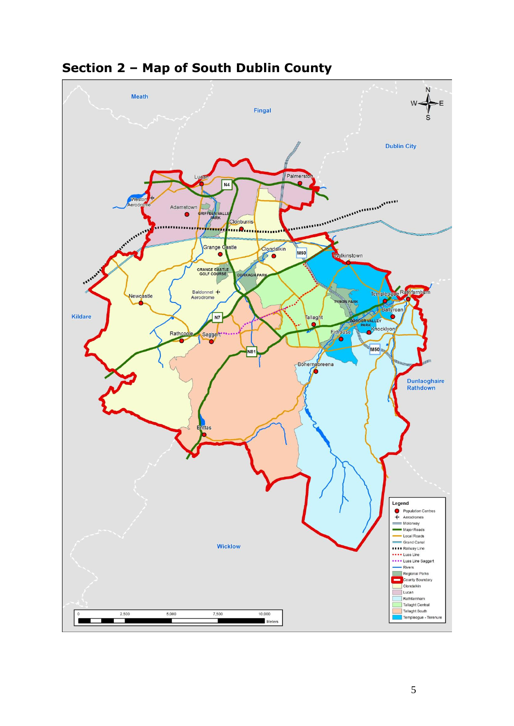<span id="page-4-0"></span>

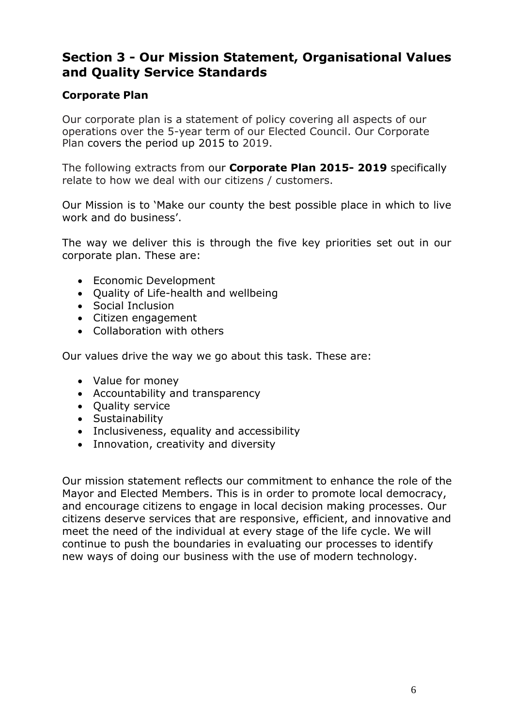# <span id="page-5-0"></span>**Section 3 - Our Mission Statement, Organisational Values and Quality Service Standards**

# **Corporate Plan**

Our corporate plan is a statement of policy covering all aspects of our operations over the 5-year term of our Elected Council. Our Corporate Plan covers the period up 2015 to 2019.

The following extracts from our **Corporate Plan 2015- 2019** specifically relate to how we deal with our citizens / customers.

Our Mission is to 'Make our county the best possible place in which to live work and do business'.

The way we deliver this is through the five key priorities set out in our corporate plan. These are:

- Economic Development
- Quality of Life-health and wellbeing
- Social Inclusion
- Citizen engagement
- Collaboration with others

Our values drive the way we go about this task. These are:

- Value for money
- Accountability and transparency
- Ouality service
- Sustainability
- Inclusiveness, equality and accessibility
- Innovation, creativity and diversity

Our mission statement reflects our commitment to enhance the role of the Mayor and Elected Members. This is in order to promote local democracy, and encourage citizens to engage in local decision making processes. Our citizens deserve services that are responsive, efficient, and innovative and meet the need of the individual at every stage of the life cycle. We will continue to push the boundaries in evaluating our processes to identify new ways of doing our business with the use of modern technology.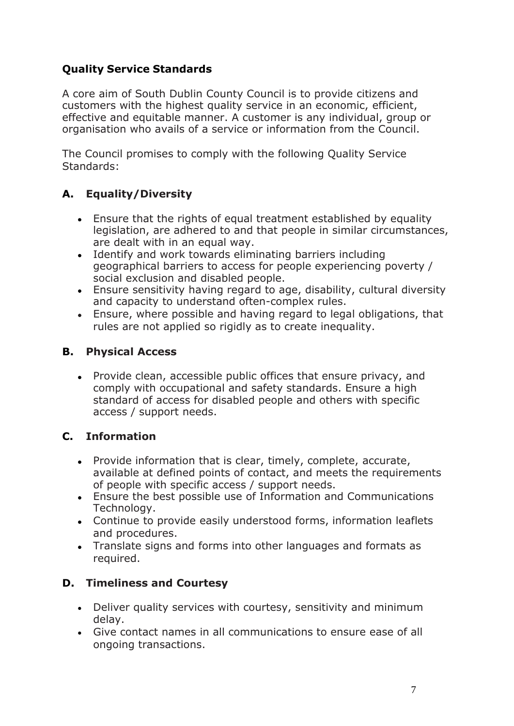# **Quality Service Standards**

A core aim of South Dublin County Council is to provide citizens and customers with the highest quality service in an economic, efficient, effective and equitable manner. A customer is any individual, group or organisation who avails of a service or information from the Council.

The Council promises to comply with the following Quality Service Standards:

# **A. Equality/Diversity**

- Ensure that the rights of equal treatment established by equality legislation, are adhered to and that people in similar circumstances, are dealt with in an equal way.
- Identify and work towards eliminating barriers including geographical barriers to access for people experiencing poverty / social exclusion and disabled people.
- Ensure sensitivity having regard to age, disability, cultural diversity and capacity to understand often-complex rules.
- Ensure, where possible and having regard to legal obligations, that rules are not applied so rigidly as to create inequality.

# **B. Physical Access**

 Provide clean, accessible public offices that ensure privacy, and comply with occupational and safety standards. Ensure a high standard of access for disabled people and others with specific access / support needs.

# **C. Information**

- Provide information that is clear, timely, complete, accurate, available at defined points of contact, and meets the requirements of people with specific access / support needs.
- Ensure the best possible use of Information and Communications Technology.
- Continue to provide easily understood forms, information leaflets and procedures.
- Translate signs and forms into other languages and formats as required.

# **D. Timeliness and Courtesy**

- Deliver quality services with courtesy, sensitivity and minimum delay.
- Give contact names in all communications to ensure ease of all ongoing transactions.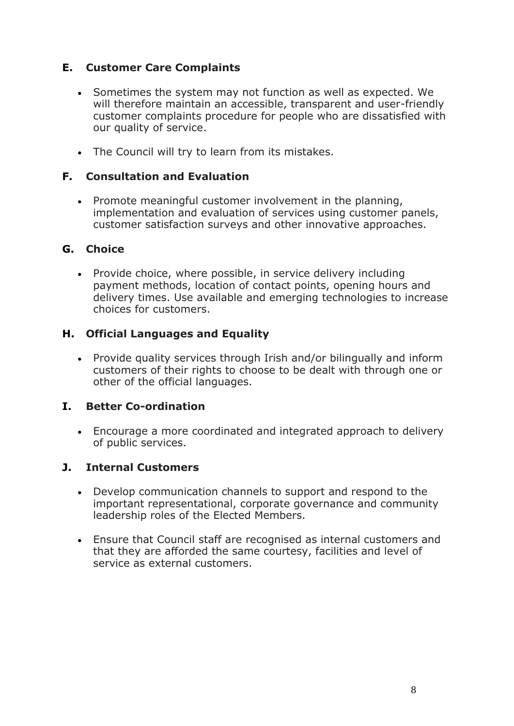# **E. Customer Care Complaints**

- Sometimes the system may not function as well as expected. We will therefore maintain an accessible, transparent and user-friendly customer complaints procedure for people who are dissatisfied with our quality of service.
- The Council will try to learn from its mistakes.

# **F. Consultation and Evaluation**

 Promote meaningful customer involvement in the planning, implementation and evaluation of services using customer panels, customer satisfaction surveys and other innovative approaches.

# **G. Choice**

• Provide choice, where possible, in service delivery including payment methods, location of contact points, opening hours and delivery times. Use available and emerging technologies to increase choices for customers.

# **H. Official Languages and Equality**

 Provide quality services through Irish and/or bilingually and inform customers of their rights to choose to be dealt with through one or other of the official languages.

# **I. Better Co-ordination**

 Encourage a more coordinated and integrated approach to delivery of public services.

# **J. Internal Customers**

- Develop communication channels to support and respond to the important representational, corporate governance and community leadership roles of the Elected Members.
- Ensure that Council staff are recognised as internal customers and that they are afforded the same courtesy, facilities and level of service as external customers.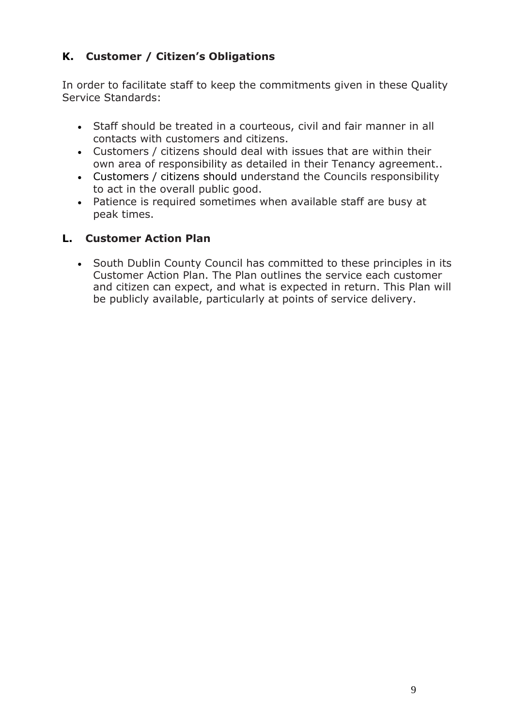# **K. Customer / Citizen's Obligations**

In order to facilitate staff to keep the commitments given in these Quality Service Standards:

- Staff should be treated in a courteous, civil and fair manner in all contacts with customers and citizens.
- Customers / citizens should deal with issues that are within their own area of responsibility as detailed in their Tenancy agreement..
- Customers / citizens should understand the Councils responsibility to act in the overall public good.
- Patience is required sometimes when available staff are busy at peak times.

# **L. Customer Action Plan**

• South Dublin County Council has committed to these principles in its Customer Action Plan. The Plan outlines the service each customer and citizen can expect, and what is expected in return. This Plan will be publicly available, particularly at points of service delivery.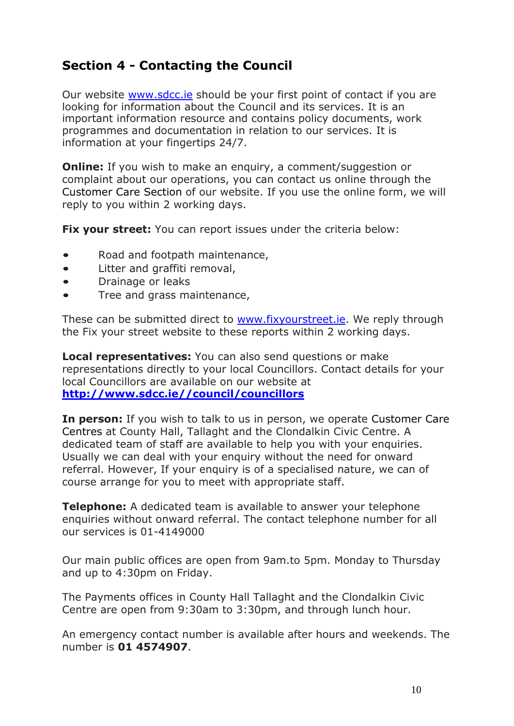# <span id="page-9-0"></span>**Section 4 - Contacting the Council**

Our website **www.sdcc.ie** should be your first point of contact if you are looking for information about the Council and its services. It is an important information resource and contains policy documents, work programmes and documentation in relation to our services. It is information at your fingertips 24/7.

**Online:** If you wish to make an enquiry, a comment/suggestion or complaint about our operations, you can contact us online through the Customer Care Section of our website. If you use the online form, we will reply to you within 2 working days.

**Fix your street:** You can report issues under the criteria below:

- Road and footpath maintenance,
- Litter and graffiti removal,
- Drainage or leaks
- Tree and grass maintenance,

These can be submitted direct to [www.fixyourstreet.ie.](http://www.fixyourstreet.ie/) We reply through the Fix your street website to these reports within 2 working days.

**Local representatives:** You can also send questions or make representations directly to your local Councillors. Contact details for your local Councillors are available on our website at **[http://www.sdcc.ie//council/councillors](http://www.sdcc.ie/council/councillors)**

**In person:** If you wish to talk to us in person, we operate Customer Care Centres at County Hall, Tallaght and the Clondalkin Civic Centre. A dedicated team of staff are available to help you with your enquiries. Usually we can deal with your enquiry without the need for onward referral. However, If your enquiry is of a specialised nature, we can of course arrange for you to meet with appropriate staff.

**Telephone:** A dedicated team is available to answer your telephone enquiries without onward referral. The contact telephone number for all our services is 01-4149000

Our main public offices are open from 9am.to 5pm. Monday to Thursday and up to 4:30pm on Friday.

The Payments offices in County Hall Tallaght and the Clondalkin Civic Centre are open from 9:30am to 3:30pm, and through lunch hour.

An emergency contact number is available after hours and weekends. The number is **01 4574907**.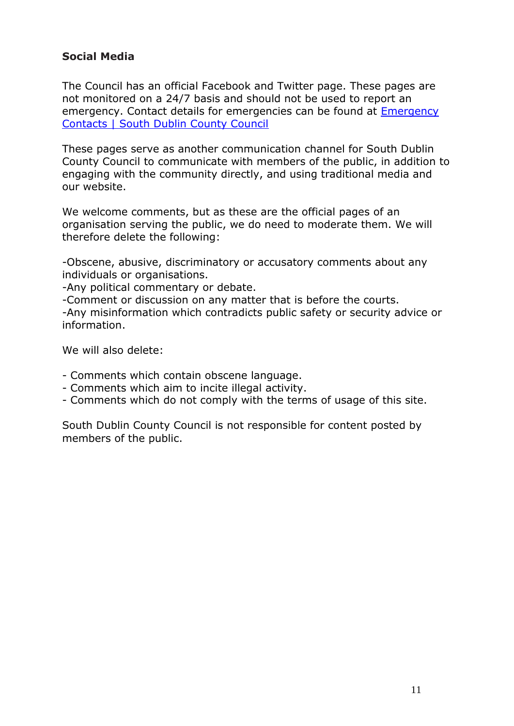# **Social Media**

The Council has an official Facebook and Twitter page. These pages are not monitored on a 24/7 basis and should not be used to report an emergency. Contact details for emergencies can be found at [Emergency](http://www.sdcc.ie/services/community/emergency-contacts)  [Contacts | South Dublin County Council](http://www.sdcc.ie/services/community/emergency-contacts)

These pages serve as another communication channel for South Dublin County Council to communicate with members of the public, in addition to engaging with the community directly, and using traditional media and our website.

We welcome comments, but as these are the official pages of an organisation serving the public, we do need to moderate them. We will therefore delete the following:

-Obscene, abusive, discriminatory or accusatory comments about any individuals or organisations.

-Any political commentary or debate.

-Comment or discussion on any matter that is before the courts.

-Any misinformation which contradicts public safety or security advice or information.

We will also delete:

- Comments which contain obscene language.
- Comments which aim to incite illegal activity.
- Comments which do not comply with the terms of usage of this site.

South Dublin County Council is not responsible for content posted by members of the public.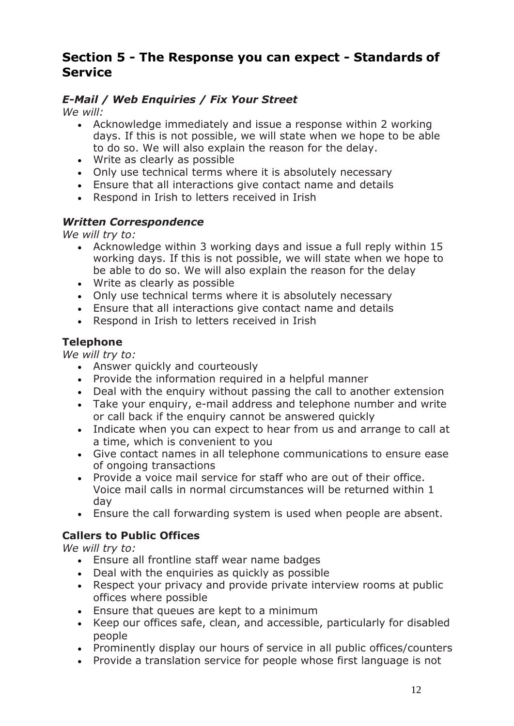# <span id="page-11-0"></span>**Section 5 - The Response you can expect - Standards of Service**

# *E-Mail / Web Enquiries / Fix Your Street*

*We will:*

- Acknowledge immediately and issue a response within 2 working days. If this is not possible, we will state when we hope to be able to do so. We will also explain the reason for the delay.
- Write as clearly as possible
- Only use technical terms where it is absolutely necessary
- Ensure that all interactions give contact name and details
- Respond in Irish to letters received in Irish

# *Written Correspondence*

*We will try to:*

- Acknowledge within 3 working days and issue a full reply within 15 working days. If this is not possible, we will state when we hope to be able to do so. We will also explain the reason for the delay
- Write as clearly as possible
- Only use technical terms where it is absolutely necessary
- Ensure that all interactions give contact name and details
- Respond in Irish to letters received in Irish

# **Telephone**

*We will try to:*

- Answer quickly and courteously
- Provide the information required in a helpful manner
- Deal with the enquiry without passing the call to another extension
- Take your enquiry, e-mail address and telephone number and write or call back if the enquiry cannot be answered quickly
- Indicate when you can expect to hear from us and arrange to call at a time, which is convenient to you
- Give contact names in all telephone communications to ensure ease of ongoing transactions
- Provide a voice mail service for staff who are out of their office. Voice mail calls in normal circumstances will be returned within 1 day
- Ensure the call forwarding system is used when people are absent.

# **Callers to Public Offices**

*We will try to:*

- Ensure all frontline staff wear name badges
- Deal with the enquiries as quickly as possible
- Respect your privacy and provide private interview rooms at public offices where possible
- Ensure that queues are kept to a minimum
- Keep our offices safe, clean, and accessible, particularly for disabled people
- Prominently display our hours of service in all public offices/counters
- Provide a translation service for people whose first language is not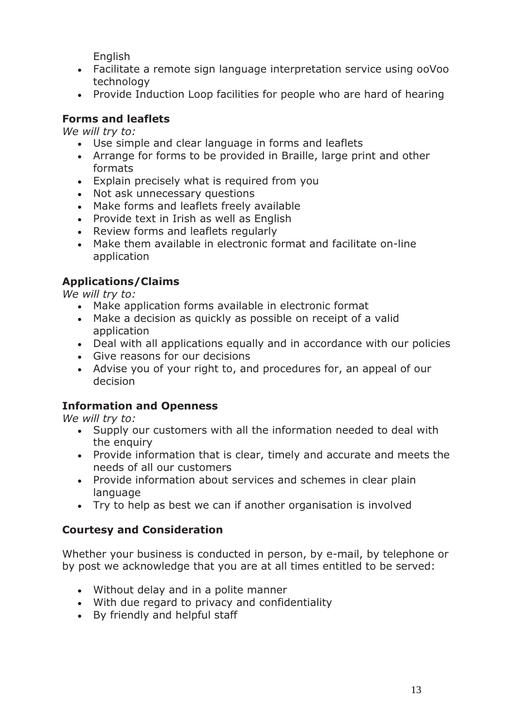English

- Facilitate a remote sign language interpretation service using ooVoo technology
- Provide Induction Loop facilities for people who are hard of hearing

# **Forms and leaflets**

*We will try to:*

- Use simple and clear language in forms and leaflets
- Arrange for forms to be provided in Braille, large print and other formats
- Explain precisely what is required from you
- Not ask unnecessary questions
- Make forms and leaflets freely available
- Provide text in Irish as well as English
- Review forms and leaflets regularly
- Make them available in electronic format and facilitate on-line application

# **Applications/Claims**

*We will try to:*

- Make application forms available in electronic format
- Make a decision as quickly as possible on receipt of a valid application
- Deal with all applications equally and in accordance with our policies
- Give reasons for our decisions
- Advise you of your right to, and procedures for, an appeal of our decision

# **Information and Openness**

*We will try to:*

- Supply our customers with all the information needed to deal with the enquiry
- Provide information that is clear, timely and accurate and meets the needs of all our customers
- Provide information about services and schemes in clear plain language
- Try to help as best we can if another organisation is involved

# **Courtesy and Consideration**

Whether your business is conducted in person, by e-mail, by telephone or by post we acknowledge that you are at all times entitled to be served:

- Without delay and in a polite manner
- With due regard to privacy and confidentiality
- By friendly and helpful staff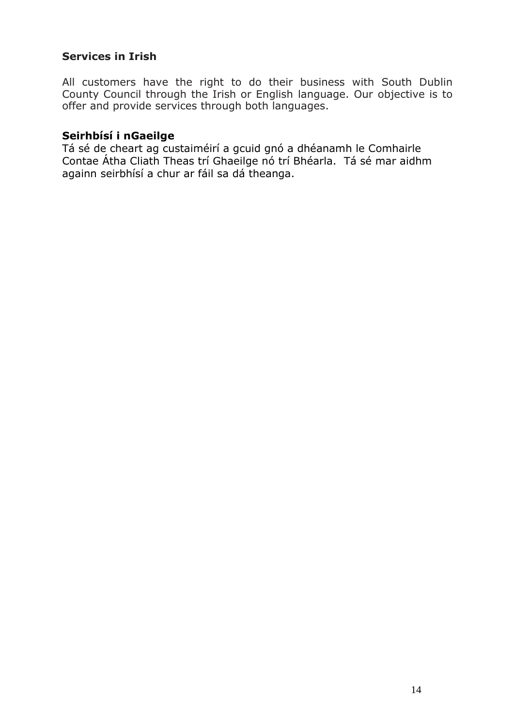### **Services in Irish**

All customers have the right to do their business with South Dublin County Council through the Irish or English language. Our objective is to offer and provide services through both languages.

#### **Seirhbísí i nGaeilge**

Tá sé de cheart ag custaiméirí a gcuid gnó a dhéanamh le Comhairle Contae Átha Cliath Theas trí Ghaeilge nó trí Bhéarla. Tá sé mar aidhm againn seirbhísí a chur ar fáil sa dá theanga.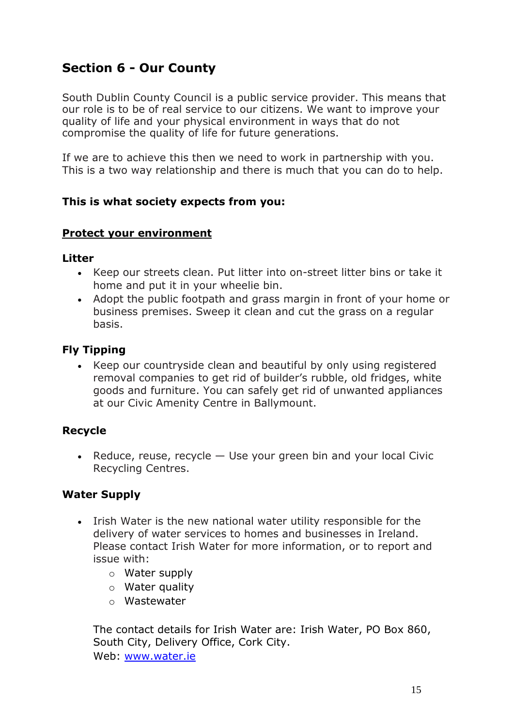# <span id="page-14-0"></span>**Section 6 - Our County**

South Dublin County Council is a public service provider. This means that our role is to be of real service to our citizens. We want to improve your quality of life and your physical environment in ways that do not compromise the quality of life for future generations.

If we are to achieve this then we need to work in partnership with you. This is a two way relationship and there is much that you can do to help.

#### **This is what society expects from you:**

#### **Protect your environment**

#### **Litter**

- Keep our streets clean. Put litter into on-street litter bins or take it home and put it in your wheelie bin.
- Adopt the public footpath and grass margin in front of your home or business premises. Sweep it clean and cut the grass on a regular basis.

# **Fly Tipping**

• Keep our countryside clean and beautiful by only using registered removal companies to get rid of builder's rubble, old fridges, white goods and furniture. You can safely get rid of unwanted appliances at our Civic Amenity Centre in Ballymount.

#### **Recycle**

• Reduce, reuse, recycle  $-$  Use your green bin and your local Civic Recycling Centres.

#### **Water Supply**

- Irish Water is the new national water utility responsible for the delivery of water services to homes and businesses in Ireland. Please contact Irish Water for more information, or to report and issue with:
	- o Water supply
	- o Water quality
	- o Wastewater

The contact details for Irish Water are: Irish Water, PO Box 860, South City, Delivery Office, Cork City. Web: [www.water.ie](http://www.water.ie/)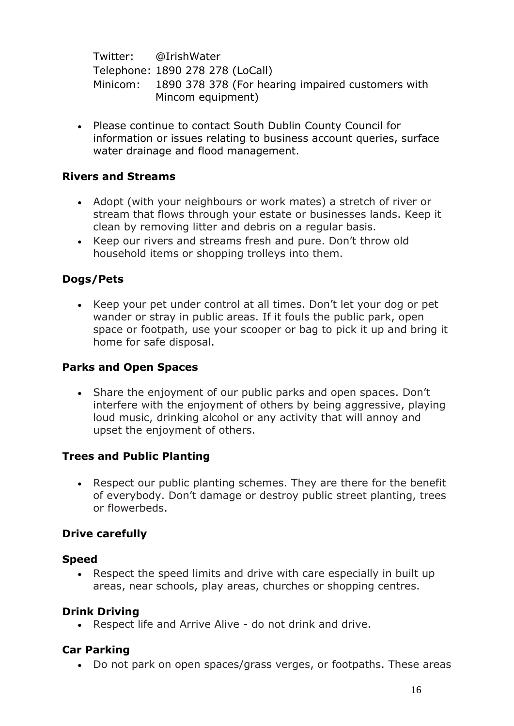Twitter: @IrishWater

Telephone: 1890 278 278 (LoCall) Minicom: 1890 378 378 (For hearing impaired customers with Mincom equipment)

 Please continue to contact South Dublin County Council for information or issues relating to business account queries, surface water drainage and flood management.

# **Rivers and Streams**

- Adopt (with your neighbours or work mates) a stretch of river or stream that flows through your estate or businesses lands. Keep it clean by removing litter and debris on a regular basis.
- Keep our rivers and streams fresh and pure. Don't throw old household items or shopping trolleys into them.

# **Dogs/Pets**

• Keep your pet under control at all times. Don't let your dog or pet wander or stray in public areas. If it fouls the public park, open space or footpath, use your scooper or bag to pick it up and bring it home for safe disposal.

# **Parks and Open Spaces**

• Share the enjoyment of our public parks and open spaces. Don't interfere with the enjoyment of others by being aggressive, playing loud music, drinking alcohol or any activity that will annoy and upset the enjoyment of others.

#### **Trees and Public Planting**

 Respect our public planting schemes. They are there for the benefit of everybody. Don't damage or destroy public street planting, trees or flowerbeds.

#### **Drive carefully**

#### **Speed**

 Respect the speed limits and drive with care especially in built up areas, near schools, play areas, churches or shopping centres.

#### **Drink Driving**

Respect life and Arrive Alive - do not drink and drive.

# **Car Parking**

Do not park on open spaces/grass verges, or footpaths. These areas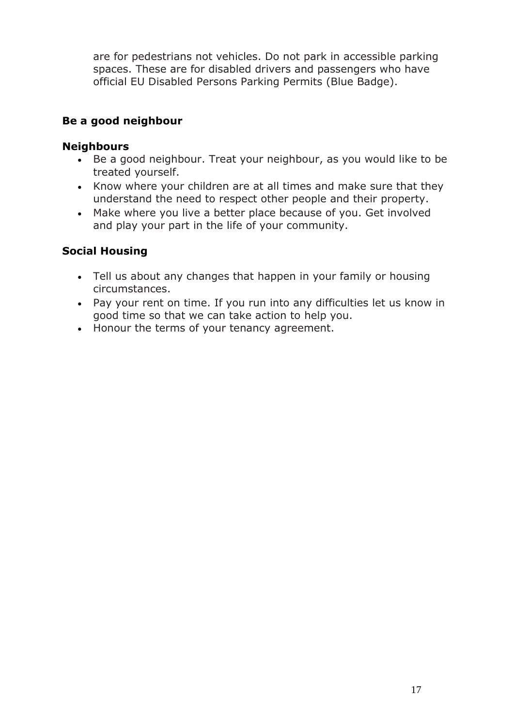are for pedestrians not vehicles. Do not park in accessible parking spaces. These are for disabled drivers and passengers who have official EU Disabled Persons Parking Permits (Blue Badge).

# **Be a good neighbour**

### **Neighbours**

- Be a good neighbour. Treat your neighbour, as you would like to be treated yourself.
- Know where your children are at all times and make sure that they understand the need to respect other people and their property.
- Make where you live a better place because of you. Get involved and play your part in the life of your community.

# **Social Housing**

- Tell us about any changes that happen in your family or housing circumstances.
- Pay your rent on time. If you run into any difficulties let us know in good time so that we can take action to help you.
- Honour the terms of your tenancy agreement.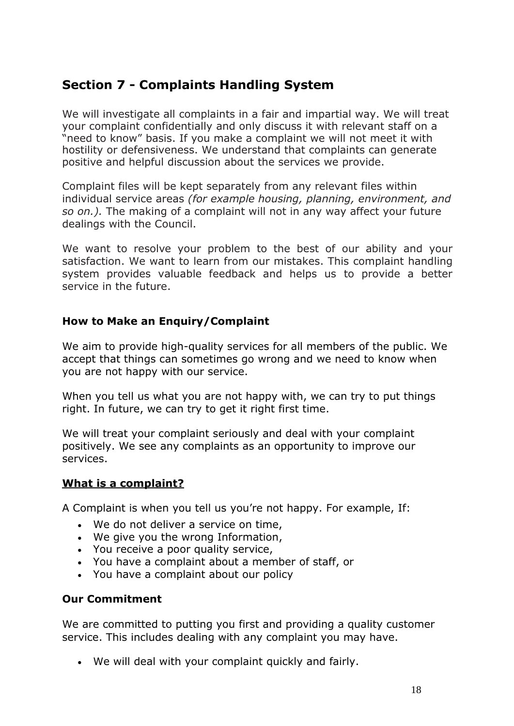# <span id="page-17-0"></span>**Section 7 - Complaints Handling System**

We will investigate all complaints in a fair and impartial way. We will treat your complaint confidentially and only discuss it with relevant staff on a "need to know" basis. If you make a complaint we will not meet it with hostility or defensiveness. We understand that complaints can generate positive and helpful discussion about the services we provide.

Complaint files will be kept separately from any relevant files within individual service areas *(for example housing, planning, environment, and so on.).* The making of a complaint will not in any way affect your future dealings with the Council.

We want to resolve your problem to the best of our ability and your satisfaction. We want to learn from our mistakes. This complaint handling system provides valuable feedback and helps us to provide a better service in the future.

#### **How to Make an Enquiry/Complaint**

We aim to provide high-quality services for all members of the public. We accept that things can sometimes go wrong and we need to know when you are not happy with our service.

When you tell us what you are not happy with, we can try to put things right. In future, we can try to get it right first time.

We will treat your complaint seriously and deal with your complaint positively. We see any complaints as an opportunity to improve our services.

#### **What is a [complaint?](http://www.sdublincoco.ie/index.aspx?pageid=1277&what&what)**

A Complaint is when you tell us you're not happy. For example, If:

- We do not deliver a service on time,
- We give you the wrong Information,
- You receive a poor quality service,
- You have a complaint about a member of staff, or
- You have a complaint about our policy

# **Our Commitment**

We are committed to putting you first and providing a quality customer service. This includes dealing with any complaint you may have.

We will deal with your complaint quickly and fairly.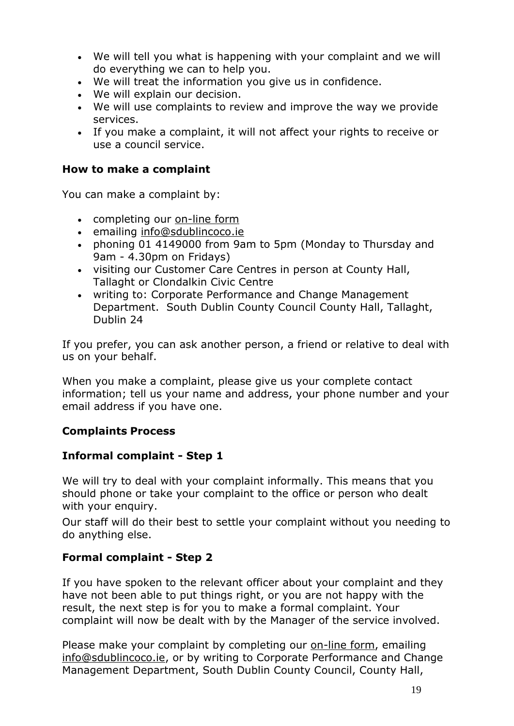- We will tell you what is happening with your complaint and we will do everything we can to help you.
- We will treat the information you give us in confidence.
- We will explain our decision.
- We will use complaints to review and improve the way we provide services.
- If you make a complaint, it will not affect your rights to receive or use a council service.

#### **How to make a complaint**

You can make a complaint by:

- completing our [on-line](http://www.sdublincoco.ie/index.aspx?pageid=1279) form
- emailing [info@sdublincoco.ie](mailto:info@sdublincoco.ie)
- phoning 01 4149000 from 9am to 5pm (Monday to Thursday and 9am - 4.30pm on Fridays)
- visiting our Customer Care Centres in person at County Hall, Tallaght or Clondalkin Civic Centre
- writing to: Corporate Performance and Change Management Department. South Dublin County Council County Hall, Tallaght, Dublin 24

If you prefer, you can ask another person, a friend or relative to deal with us on your behalf.

When you make a complaint, please give us your complete contact information; tell us your name and address, your phone number and your email address if you have one.

# **Complaints Process**

# **Informal complaint - Step 1**

We will try to deal with your complaint informally. This means that you should phone or take your complaint to the office or person who dealt with your enquiry.

Our staff will do their best to settle your complaint without you needing to do anything else.

# **Formal complaint - Step 2**

If you have spoken to the relevant officer about your complaint and they have not been able to put things right, or you are not happy with the result, the next step is for you to make a formal complaint. Your complaint will now be dealt with by the Manager of the service involved.

Please make your complaint by completing our [on-line](http://www.sdublincoco.ie/index.aspx?pageid=1279) form, emailing [info@sdublincoco.ie,](mailto:info@sdublincoco.ie) or by writing to Corporate Performance and Change Management Department, South Dublin County Council, County Hall,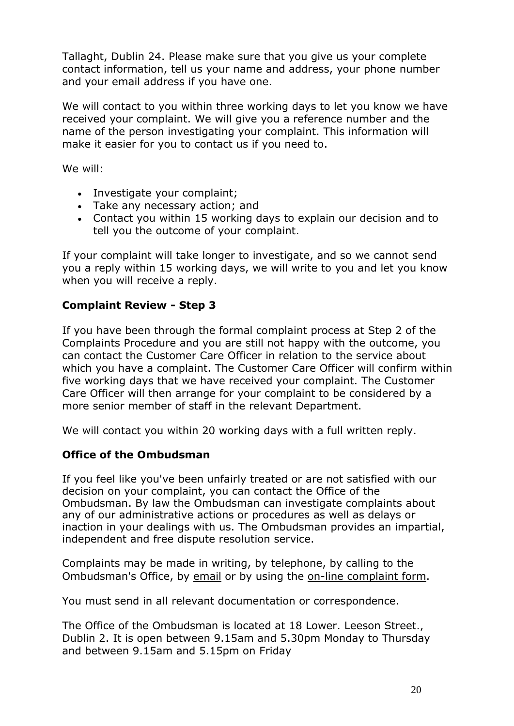Tallaght, Dublin 24. Please make sure that you give us your complete contact information, tell us your name and address, your phone number and your email address if you have one.

We will contact to you within three working days to let you know we have received your complaint. We will give you a reference number and the name of the person investigating your complaint. This information will make it easier for you to contact us if you need to.

We will:

- Investigate your complaint;
- Take any necessary action; and
- Contact you within 15 working days to explain our decision and to tell you the outcome of your complaint.

If your complaint will take longer to investigate, and so we cannot send you a reply within 15 working days, we will write to you and let you know when you will receive a reply.

# **Complaint Review - Step 3**

If you have been through the formal complaint process at Step 2 of the Complaints Procedure and you are still not happy with the outcome, you can contact the Customer Care Officer in relation to the service about which you have a complaint. The Customer Care Officer will confirm within five working days that we have received your complaint. The Customer Care Officer will then arrange for your complaint to be considered by a more senior member of staff in the relevant Department.

We will contact you within 20 working days with a full written reply.

# **Office of the Ombudsman**

If you feel like you've been unfairly treated or are not satisfied with our decision on your complaint, you can contact the Office of the Ombudsman. By law the Ombudsman can investigate complaints about any of our administrative actions or procedures as well as delays or inaction in your dealings with us. The Ombudsman provides an impartial, independent and free dispute resolution service.

Complaints may be made in writing, by telephone, by calling to the Ombudsman's Office, by [email](mailto:ombudsman@ombudsman.gov.ie) or by using the [on-line complaint](http://ombudsman.gov.ie/en/MakeaComplaint/OnlinecomplaintForm/) form.

You must send in all relevant documentation or correspondence.

The Office of the Ombudsman is located at 18 Lower. Leeson Street., Dublin 2. It is open between 9.15am and 5.30pm Monday to Thursday and between 9.15am and 5.15pm on Friday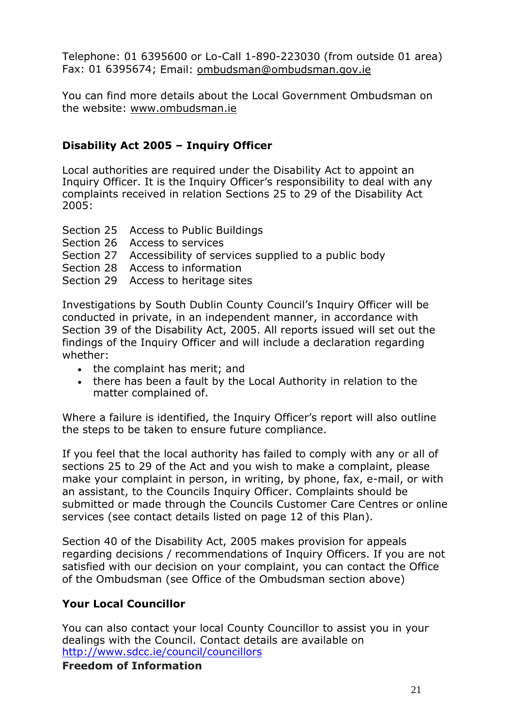Telephone: 01 6395600 or Lo-Call 1-890-223030 (from outside 01 area) Fax: 01 6395674; Email: [ombudsman@ombudsman.gov.ie](mailto:ombudsman@ombudsman.gov.ie)

You can find more details about the Local Government Ombudsman on the website: [www.ombudsman.ie](http://www.ombudsman.ie/)

# **Disability Act 2005 – Inquiry Officer**

Local authorities are required under the Disability Act to appoint an Inquiry Officer. It is the Inquiry Officer's responsibility to deal with any complaints received in relation Sections 25 to 29 of the Disability Act 2005:

- Section 25 Access to Public Buildings
- Section 26 Access to services
- Section 27 Accessibility of services supplied to a public body
- Section 28 Access to information
- Section 29 Access to heritage sites

Investigations by South Dublin County Council's Inquiry Officer will be conducted in private, in an independent manner, in accordance with Section 39 of the Disability Act, 2005. All reports issued will set out the findings of the Inquiry Officer and will include a declaration regarding whether:

- the complaint has merit; and
- there has been a fault by the Local Authority in relation to the matter complained of.

Where a failure is identified, the Inquiry Officer's report will also outline the steps to be taken to ensure future compliance.

If you feel that the local authority has failed to comply with any or all of sections 25 to 29 of the Act and you wish to make a complaint, please make your complaint in person, in writing, by phone, fax, e-mail, or with an assistant, to the Councils Inquiry Officer. Complaints should be submitted or made through the Councils Customer Care Centres or online services (see contact details listed on page 12 of this Plan).

Section 40 of the Disability Act, 2005 makes provision for appeals regarding decisions / recommendations of Inquiry Officers. If you are not satisfied with our decision on your complaint, you can contact the Office of the Ombudsman (see Office of the Ombudsman section above)

# **Your Local Councillor**

You can also contact your local County Councillor to assist you in your dealings with the Council. Contact details are available on <http://www.sdcc.ie/council/councillors>

**Freedom of Information**